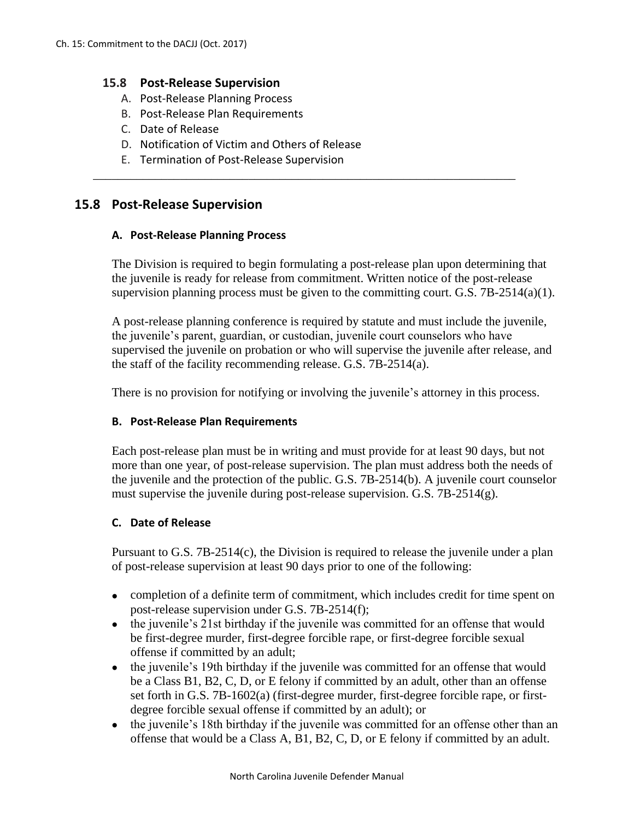### **15.8 Post-Release Supervision**

- A. Post-Release Planning Process
- B. Post-Release Plan Requirements
- C. Date of Release
- D. Notification of Victim and Others of Release
- E. Termination of Post-Release Supervision

# **15.8 Post-Release Supervision**

#### **A. Post-Release Planning Process**

The Division is required to begin formulating a post-release plan upon determining that the juvenile is ready for release from commitment. Written notice of the post-release supervision planning process must be given to the committing court. G.S.  $7B-2514(a)(1)$ .

\_\_\_\_\_\_\_\_\_\_\_\_\_\_\_\_\_\_\_\_\_\_\_\_\_\_\_\_\_\_\_\_\_\_\_\_\_\_\_\_\_\_\_\_\_\_\_\_\_\_\_\_\_\_\_\_\_\_\_\_\_\_\_\_\_\_\_\_

A post-release planning conference is required by statute and must include the juvenile, the juvenile's parent, guardian, or custodian, juvenile court counselors who have supervised the juvenile on probation or who will supervise the juvenile after release, and the staff of the facility recommending release. G.S. 7B-2514(a).

There is no provision for notifying or involving the juvenile's attorney in this process.

### **B. Post-Release Plan Requirements**

Each post-release plan must be in writing and must provide for at least 90 days, but not more than one year, of post-release supervision. The plan must address both the needs of the juvenile and the protection of the public. G.S. 7B-2514(b). A juvenile court counselor must supervise the juvenile during post-release supervision. G.S. 7B-2514(g).

### **C. Date of Release**

Pursuant to G.S. 7B-2514(c), the Division is required to release the juvenile under a plan of post-release supervision at least 90 days prior to one of the following:

- completion of a definite term of commitment, which includes credit for time spent on post-release supervision under G.S. 7B-2514(f);
- the juvenile's 21st birthday if the juvenile was committed for an offense that would be first-degree murder, first-degree forcible rape, or first-degree forcible sexual offense if committed by an adult;
- the juvenile's 19th birthday if the juvenile was committed for an offense that would be a Class B1, B2, C, D, or E felony if committed by an adult, other than an offense set forth in G.S. 7B-1602(a) (first-degree murder, first-degree forcible rape, or firstdegree forcible sexual offense if committed by an adult); or
- the juvenile's 18th birthday if the juvenile was committed for an offense other than an offense that would be a Class A, B1, B2, C, D, or E felony if committed by an adult.